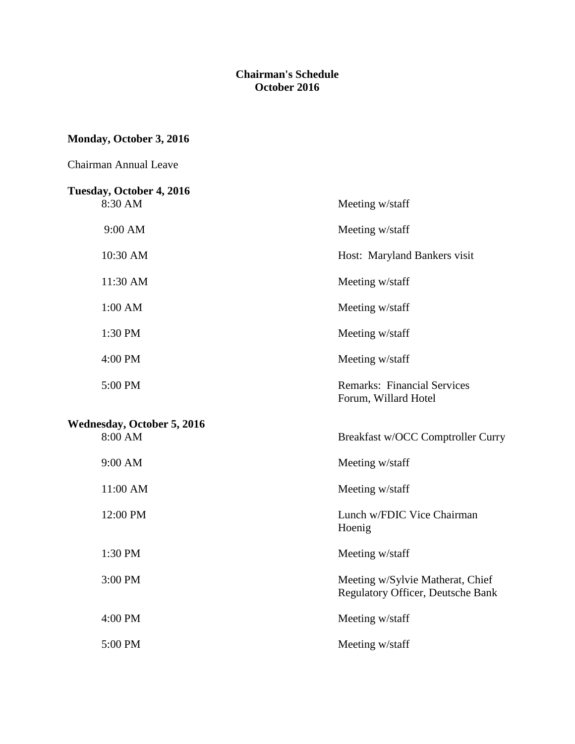#### **Chairman's Schedule October 2016**

## **Monday, October 3, 2016**

| <b>Chairman Annual Leave</b>        |                                                                              |
|-------------------------------------|------------------------------------------------------------------------------|
| Tuesday, October 4, 2016<br>8:30 AM | Meeting w/staff                                                              |
| 9:00 AM                             | Meeting w/staff                                                              |
| 10:30 AM                            | Host: Maryland Bankers visit                                                 |
| 11:30 AM                            | Meeting w/staff                                                              |
| 1:00 AM                             | Meeting w/staff                                                              |
| 1:30 PM                             | Meeting w/staff                                                              |
| 4:00 PM                             | Meeting w/staff                                                              |
| 5:00 PM                             | <b>Remarks: Financial Services</b><br>Forum, Willard Hotel                   |
| Wednesday, October 5, 2016          |                                                                              |
| 8:00 AM                             | Breakfast w/OCC Comptroller Curry                                            |
| 9:00 AM                             | Meeting w/staff                                                              |
| 11:00 AM                            | Meeting w/staff                                                              |
| 12:00 PM                            | Lunch w/FDIC Vice Chairman<br>Hoenig                                         |
| 1:30 PM                             | Meeting w/staff                                                              |
| 3:00 PM                             | Meeting w/Sylvie Matherat, Chief<br><b>Regulatory Officer, Deutsche Bank</b> |
| 4:00 PM                             | Meeting w/staff                                                              |
| 5:00 PM                             | Meeting w/staff                                                              |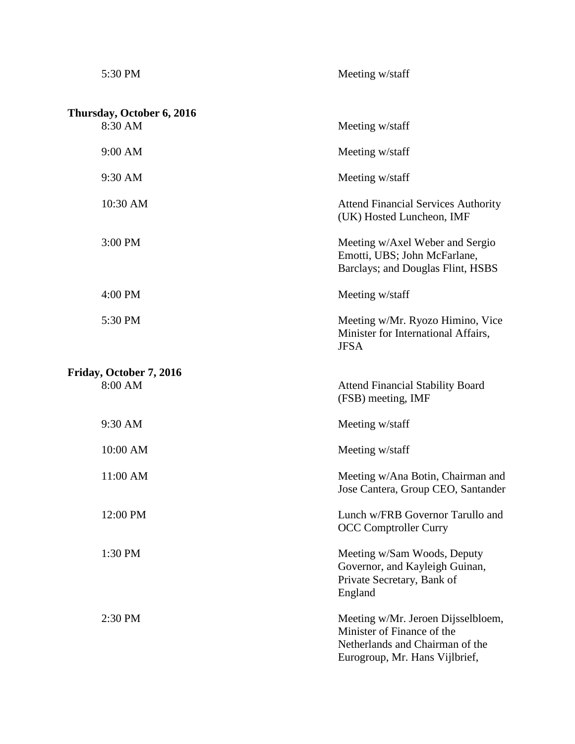| 5:30 PM                              | Meeting w/staff                                                                                        |
|--------------------------------------|--------------------------------------------------------------------------------------------------------|
| Thursday, October 6, 2016<br>8:30 AM | Meeting w/staff                                                                                        |
|                                      |                                                                                                        |
| 9:00 AM                              | Meeting w/staff                                                                                        |
| 9:30 AM                              | Meeting w/staff                                                                                        |
| 10:30 AM                             | <b>Attend Financial Services Authority</b><br>(UK) Hosted Luncheon, IMF                                |
| 3:00 PM                              | Meeting w/Axel Weber and Sergio<br>Emotti, UBS; John McFarlane,<br>Barclays; and Douglas Flint, HSBS   |
| 4:00 PM                              | Meeting w/staff                                                                                        |
| 5:30 PM                              | Meeting w/Mr. Ryozo Himino, Vice<br>Minister for International Affairs,<br><b>JFSA</b>                 |
| Friday, October 7, 2016<br>8:00 AM   | <b>Attend Financial Stability Board</b><br>(FSB) meeting, IMF                                          |
| 9:30 AM                              | Meeting w/staff                                                                                        |
| 10:00 AM                             | Meeting w/staff                                                                                        |
| 11:00 AM                             | Meeting w/Ana Botin, Chairman and<br>Jose Cantera, Group CEO, Santander                                |
| 12:00 PM                             | Lunch w/FRB Governor Tarullo and<br><b>OCC Comptroller Curry</b>                                       |
| 1:30 PM                              | Meeting w/Sam Woods, Deputy<br>Governor, and Kayleigh Guinan,<br>Private Secretary, Bank of<br>England |
| 2:30 PM                              | Meeting w/Mr. Jeroen Dijsselbloem,<br>Minister of Finance of the<br>Netherlands and Chairman of the    |

Eurogroup, Mr. Hans Vijlbrief,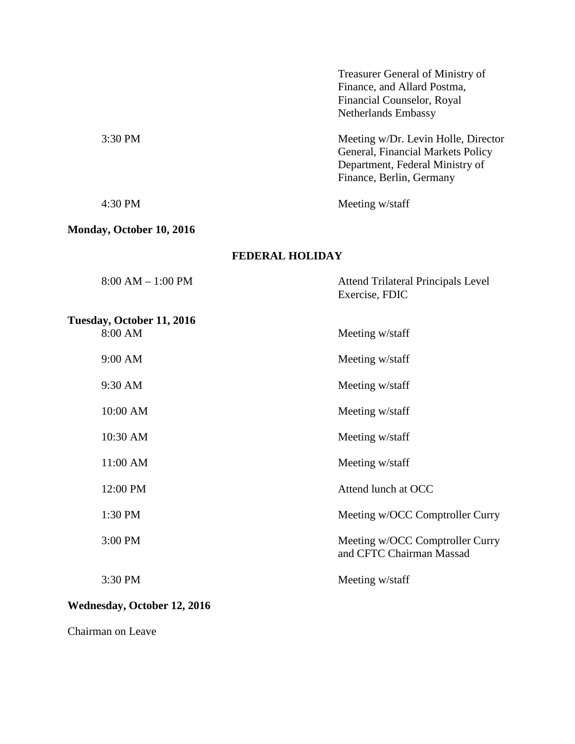| Treasurer General of Ministry of    |
|-------------------------------------|
| Finance, and Allard Postma,         |
|                                     |
|                                     |
| Meeting w/Dr. Levin Holle, Director |
| General, Financial Markets Policy   |
| Department, Federal Ministry of     |
|                                     |
|                                     |
|                                     |

# **Monday, October 10, 2016**

#### **FEDERAL HOLIDAY**

| $8:00 AM - 1:00 PM$                  | <b>Attend Trilateral Principals Level</b><br>Exercise, FDIC |
|--------------------------------------|-------------------------------------------------------------|
| Tuesday, October 11, 2016<br>8:00 AM | Meeting w/staff                                             |
| 9:00 AM                              | Meeting w/staff                                             |
| 9:30 AM                              | Meeting w/staff                                             |
| 10:00 AM                             | Meeting w/staff                                             |
| 10:30 AM                             | Meeting w/staff                                             |
| 11:00 AM                             | Meeting w/staff                                             |
| 12:00 PM                             | Attend lunch at OCC                                         |
| 1:30 PM                              | Meeting w/OCC Comptroller Curry                             |
| 3:00 PM                              | Meeting w/OCC Comptroller Curry<br>and CFTC Chairman Massad |
| 3:30 PM                              | Meeting w/staff                                             |

# **Wednesday, October 12, 2016**

Chairman on Leave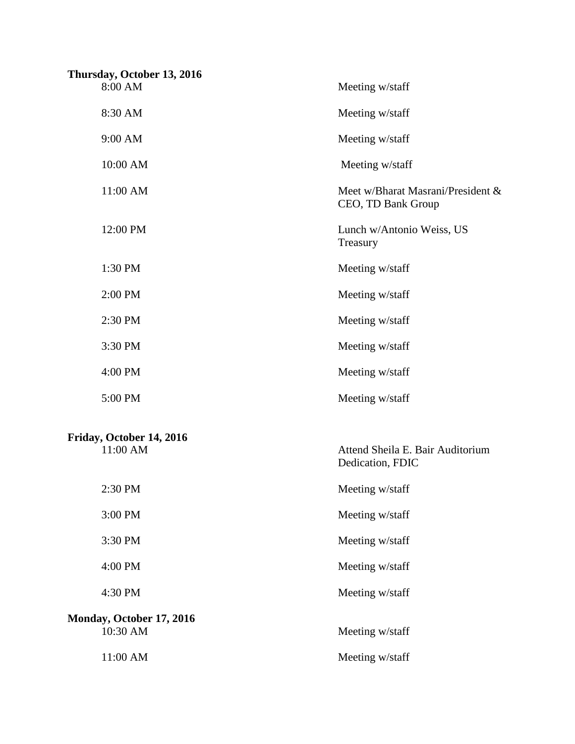| Thursday, October 13, 2016<br>8:00 AM | Meeting w/staff                                         |
|---------------------------------------|---------------------------------------------------------|
| 8:30 AM                               | Meeting w/staff                                         |
| 9:00 AM                               | Meeting w/staff                                         |
| 10:00 AM                              | Meeting w/staff                                         |
| 11:00 AM                              | Meet w/Bharat Masrani/President &<br>CEO, TD Bank Group |
| 12:00 PM                              | Lunch w/Antonio Weiss, US<br>Treasury                   |
| 1:30 PM                               | Meeting w/staff                                         |
| 2:00 PM                               | Meeting w/staff                                         |
| 2:30 PM                               | Meeting w/staff                                         |
| 3:30 PM                               | Meeting w/staff                                         |
| 4:00 PM                               | Meeting w/staff                                         |
| 5:00 PM                               | Meeting w/staff                                         |
| Friday, October 14, 2016<br>11:00 AM  | Attend Sheila E. Bair Auditorium<br>Dedication, FDIC    |
| 2:30 PM                               | Meeting w/staff                                         |
| 3:00 PM                               | Meeting w/staff                                         |
| 3:30 PM                               | Meeting w/staff                                         |
| 4:00 PM                               | Meeting w/staff                                         |
| 4:30 PM                               | Meeting w/staff                                         |
| Monday, October 17, 2016<br>10:30 AM  | Meeting w/staff                                         |
| 11:00 AM                              | Meeting w/staff                                         |
|                                       |                                                         |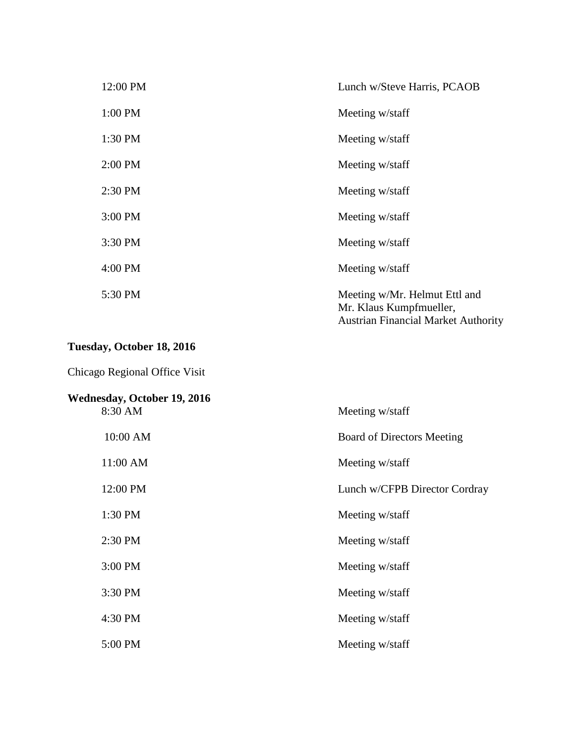| 12:00 PM  | Lunch w/Steve Harris, PCAOB                                                                            |
|-----------|--------------------------------------------------------------------------------------------------------|
| 1:00 PM   | Meeting w/staff                                                                                        |
| 1:30 PM   | Meeting w/staff                                                                                        |
| $2:00$ PM | Meeting w/staff                                                                                        |
| 2:30 PM   | Meeting w/staff                                                                                        |
| 3:00 PM   | Meeting w/staff                                                                                        |
| 3:30 PM   | Meeting w/staff                                                                                        |
| 4:00 PM   | Meeting w/staff                                                                                        |
| 5:30 PM   | Meeting w/Mr. Helmut Ettl and<br>Mr. Klaus Kumpfmueller,<br><b>Austrian Financial Market Authority</b> |

# **Tuesday, October 18, 2016**

Chicago Regional Office Visit

| <b>Wednesday, October 19, 2016</b> |                                   |
|------------------------------------|-----------------------------------|
| 8:30 AM                            | Meeting w/staff                   |
| 10:00 AM                           | <b>Board of Directors Meeting</b> |
| 11:00 AM                           | Meeting w/staff                   |
| 12:00 PM                           | Lunch w/CFPB Director Cordray     |
| 1:30 PM                            | Meeting w/staff                   |
| 2:30 PM                            | Meeting w/staff                   |
| 3:00 PM                            | Meeting w/staff                   |
| 3:30 PM                            | Meeting w/staff                   |
| 4:30 PM                            | Meeting w/staff                   |
| 5:00 PM                            | Meeting w/staff                   |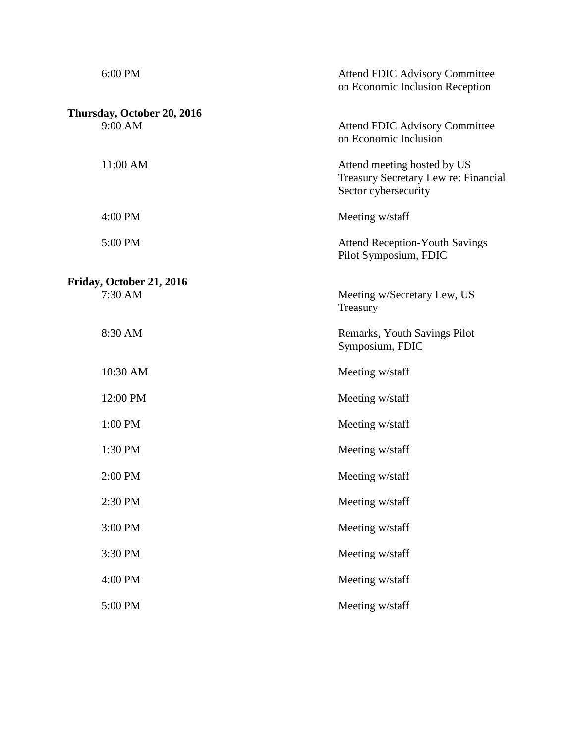| 6:00 PM                               | <b>Attend FDIC Advisory Committee</b><br>on Economic Inclusion Reception                    |
|---------------------------------------|---------------------------------------------------------------------------------------------|
|                                       |                                                                                             |
| Thursday, October 20, 2016<br>9:00 AM | <b>Attend FDIC Advisory Committee</b><br>on Economic Inclusion                              |
| 11:00 AM                              | Attend meeting hosted by US<br>Treasury Secretary Lew re: Financial<br>Sector cybersecurity |
| 4:00 PM                               | Meeting w/staff                                                                             |
| 5:00 PM                               | <b>Attend Reception-Youth Savings</b><br>Pilot Symposium, FDIC                              |
|                                       |                                                                                             |
| Friday, October 21, 2016<br>7:30 AM   | Meeting w/Secretary Lew, US<br>Treasury                                                     |
| 8:30 AM                               | Remarks, Youth Savings Pilot<br>Symposium, FDIC                                             |
| 10:30 AM                              | Meeting w/staff                                                                             |
| 12:00 PM                              | Meeting w/staff                                                                             |
| 1:00 PM                               | Meeting w/staff                                                                             |
| 1:30 PM                               | Meeting w/staff                                                                             |
| 2:00 PM                               | Meeting w/staff                                                                             |
| 2:30 PM                               | Meeting w/staff                                                                             |
| 3:00 PM                               | Meeting w/staff                                                                             |
| 3:30 PM                               | Meeting w/staff                                                                             |
| 4:00 PM                               | Meeting w/staff                                                                             |
| 5:00 PM                               | Meeting w/staff                                                                             |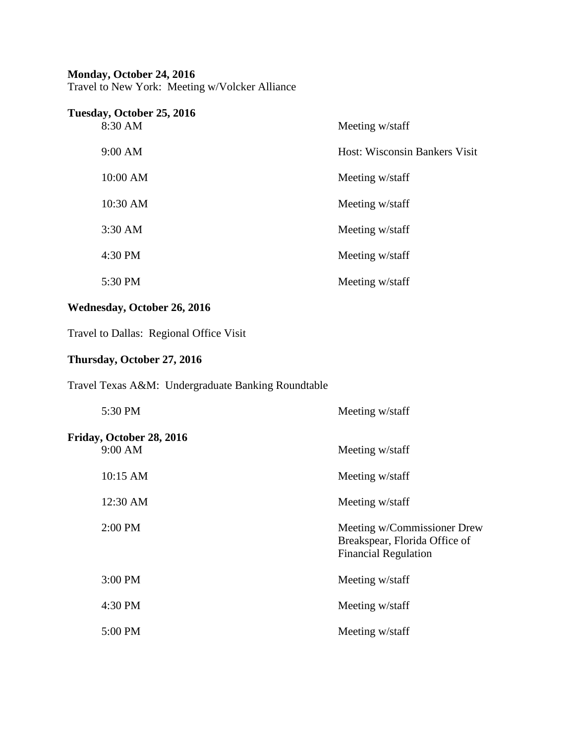#### **Monday, October 24, 2016**

Travel to New York: Meeting w/Volcker Alliance

| Tuesday, October 25, 2016 |                                      |
|---------------------------|--------------------------------------|
| 8:30 AM                   | Meeting w/staff                      |
| $9:00$ AM                 | <b>Host: Wisconsin Bankers Visit</b> |
| 10:00 AM                  | Meeting w/staff                      |
| 10:30 AM                  | Meeting w/staff                      |
| $3:30$ AM                 | Meeting w/staff                      |
| 4:30 PM                   | Meeting w/staff                      |
| 5:30 PM                   | Meeting w/staff                      |

## **Wednesday, October 26, 2016**

Travel to Dallas: Regional Office Visit

## **Thursday, October 27, 2016**

Travel Texas A&M: Undergraduate Banking Roundtable

| 5:30 PM                             | Meeting w/staff                                                                             |
|-------------------------------------|---------------------------------------------------------------------------------------------|
| Friday, October 28, 2016<br>9:00 AM | Meeting w/staff                                                                             |
| 10:15 AM                            | Meeting w/staff                                                                             |
| 12:30 AM                            | Meeting w/staff                                                                             |
| 2:00 PM                             | Meeting w/Commissioner Drew<br>Breakspear, Florida Office of<br><b>Financial Regulation</b> |
| 3:00 PM                             | Meeting w/staff                                                                             |
| 4:30 PM                             | Meeting w/staff                                                                             |
| 5:00 PM                             | Meeting w/staff                                                                             |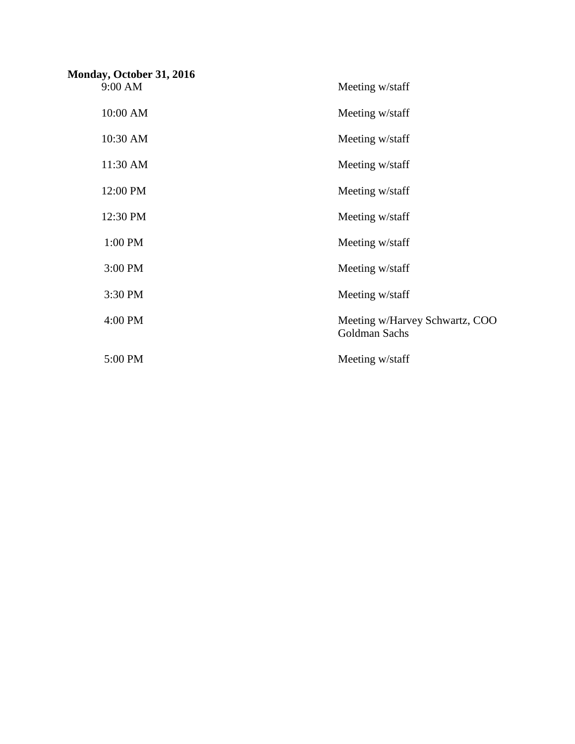| Monday, October 31, 2016 |                                                 |
|--------------------------|-------------------------------------------------|
| 9:00 AM                  | Meeting w/staff                                 |
| 10:00 AM                 | Meeting w/staff                                 |
| 10:30 AM                 | Meeting w/staff                                 |
| 11:30 AM                 | Meeting w/staff                                 |
| 12:00 PM                 | Meeting w/staff                                 |
| 12:30 PM                 | Meeting w/staff                                 |
| 1:00 PM                  | Meeting w/staff                                 |
| 3:00 PM                  | Meeting w/staff                                 |
| 3:30 PM                  | Meeting w/staff                                 |
| 4:00 PM                  | Meeting w/Harvey Schwartz, COO<br>Goldman Sachs |
| 5:00 PM                  | Meeting w/staff                                 |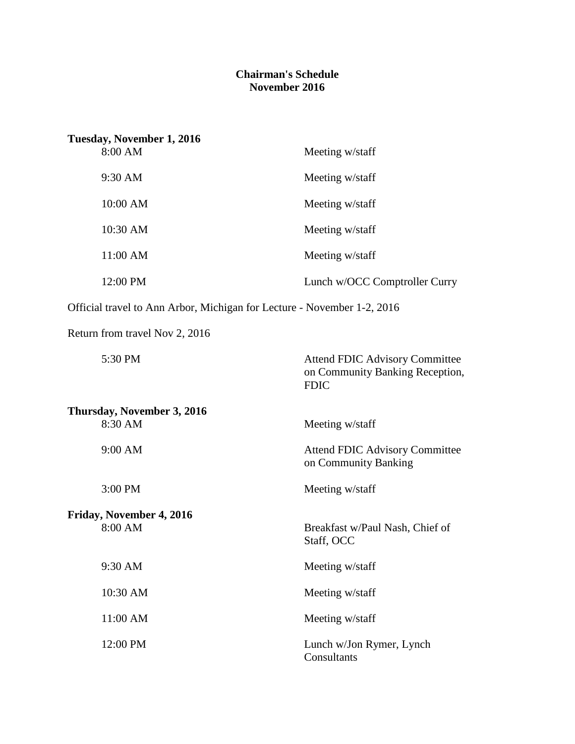#### **Chairman's Schedule November 2016**

| Tuesday, November 1, 2016                                               |                                                                                         |  |  |
|-------------------------------------------------------------------------|-----------------------------------------------------------------------------------------|--|--|
| 8:00 AM                                                                 | Meeting w/staff                                                                         |  |  |
| 9:30 AM                                                                 | Meeting w/staff                                                                         |  |  |
| 10:00 AM                                                                | Meeting w/staff                                                                         |  |  |
| 10:30 AM                                                                | Meeting w/staff                                                                         |  |  |
| 11:00 AM                                                                | Meeting w/staff                                                                         |  |  |
| 12:00 PM                                                                | Lunch w/OCC Comptroller Curry                                                           |  |  |
| Official travel to Ann Arbor, Michigan for Lecture - November 1-2, 2016 |                                                                                         |  |  |
| Return from travel Nov 2, 2016                                          |                                                                                         |  |  |
| 5:30 PM                                                                 | <b>Attend FDIC Advisory Committee</b><br>on Community Banking Reception,<br><b>FDIC</b> |  |  |
| Thursday, November 3, 2016                                              |                                                                                         |  |  |
| 8:30 AM                                                                 | Meeting w/staff                                                                         |  |  |
| 9:00 AM                                                                 | <b>Attend FDIC Advisory Committee</b><br>on Community Banking                           |  |  |
| 3:00 PM                                                                 | Meeting w/staff                                                                         |  |  |
| Friday, November 4, 2016                                                |                                                                                         |  |  |
| 8:00 AM                                                                 | Breakfast w/Paul Nash, Chief of<br>Staff, OCC                                           |  |  |
| 9:30 AM                                                                 | Meeting w/staff                                                                         |  |  |
| 10:30 AM                                                                | Meeting w/staff                                                                         |  |  |
| 11:00 AM                                                                | Meeting w/staff                                                                         |  |  |
| 12:00 PM                                                                | Lunch w/Jon Rymer, Lynch<br>Consultants                                                 |  |  |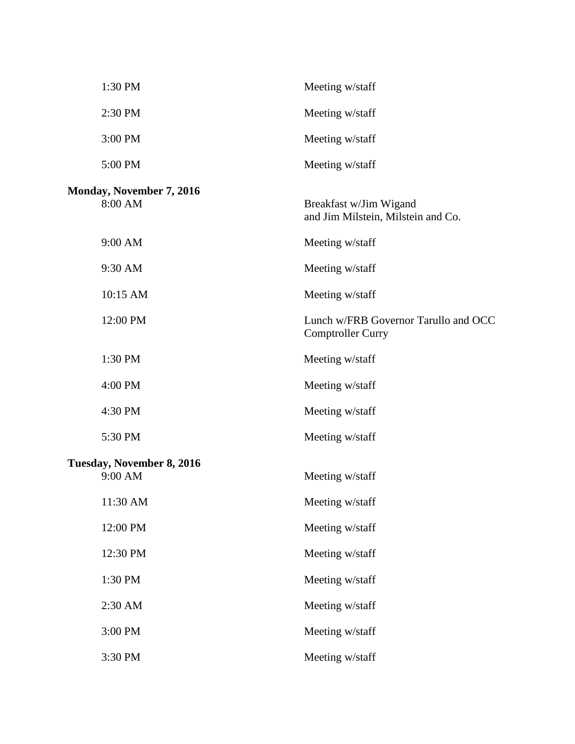| 1:30 PM                              | Meeting w/staff                                                  |
|--------------------------------------|------------------------------------------------------------------|
| 2:30 PM                              | Meeting w/staff                                                  |
| 3:00 PM                              | Meeting w/staff                                                  |
| 5:00 PM                              | Meeting w/staff                                                  |
| Monday, November 7, 2016<br>8:00 AM  | Breakfast w/Jim Wigand<br>and Jim Milstein, Milstein and Co.     |
| 9:00 AM                              | Meeting w/staff                                                  |
| 9:30 AM                              | Meeting w/staff                                                  |
| 10:15 AM                             | Meeting w/staff                                                  |
| 12:00 PM                             | Lunch w/FRB Governor Tarullo and OCC<br><b>Comptroller Curry</b> |
| 1:30 PM                              | Meeting w/staff                                                  |
| 4:00 PM                              | Meeting w/staff                                                  |
| 4:30 PM                              | Meeting w/staff                                                  |
| 5:30 PM                              | Meeting w/staff                                                  |
| Tuesday, November 8, 2016<br>9:00 AM | Meeting w/staff                                                  |
| 11:30 AM                             | Meeting w/staff                                                  |
| 12:00 PM                             | Meeting w/staff                                                  |
| 12:30 PM                             | Meeting w/staff                                                  |
| 1:30 PM                              | Meeting w/staff                                                  |
| 2:30 AM                              | Meeting w/staff                                                  |
| 3:00 PM                              | Meeting w/staff                                                  |
| 3:30 PM                              | Meeting w/staff                                                  |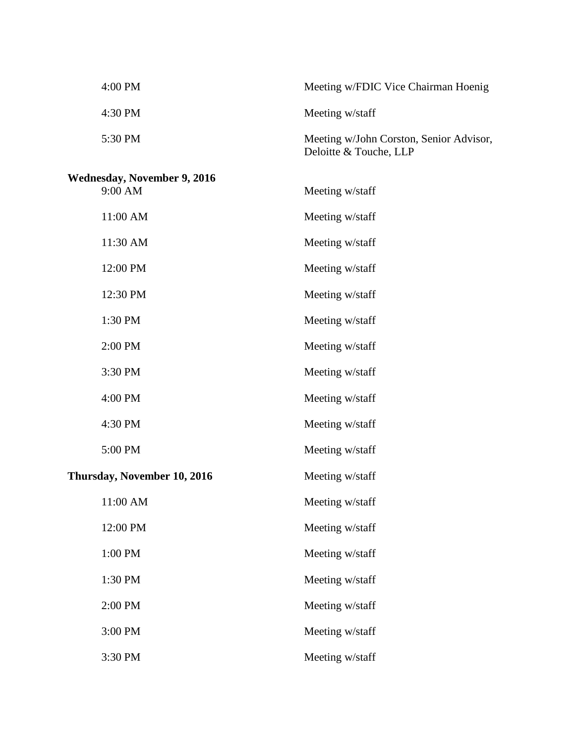| 4:00 PM                                       | Meeting w/FDIC Vice Chairman Hoenig                               |
|-----------------------------------------------|-------------------------------------------------------------------|
| 4:30 PM                                       | Meeting w/staff                                                   |
| 5:30 PM                                       | Meeting w/John Corston, Senior Advisor,<br>Deloitte & Touche, LLP |
| <b>Wednesday, November 9, 2016</b><br>9:00 AM | Meeting w/staff                                                   |
| 11:00 AM                                      | Meeting w/staff                                                   |
| 11:30 AM                                      | Meeting w/staff                                                   |
| 12:00 PM                                      | Meeting w/staff                                                   |
| 12:30 PM                                      | Meeting w/staff                                                   |
| 1:30 PM                                       | Meeting w/staff                                                   |
| 2:00 PM                                       | Meeting w/staff                                                   |
| 3:30 PM                                       | Meeting w/staff                                                   |
| 4:00 PM                                       | Meeting w/staff                                                   |
| 4:30 PM                                       | Meeting w/staff                                                   |
| 5:00 PM                                       | Meeting w/staff                                                   |
| Thursday, November 10, 2016                   | Meeting w/staff                                                   |
| 11:00 AM                                      | Meeting w/staff                                                   |
| 12:00 PM                                      | Meeting w/staff                                                   |
| 1:00 PM                                       | Meeting w/staff                                                   |
| 1:30 PM                                       | Meeting w/staff                                                   |
| 2:00 PM                                       | Meeting w/staff                                                   |
| 3:00 PM                                       | Meeting w/staff                                                   |
| 3:30 PM                                       | Meeting w/staff                                                   |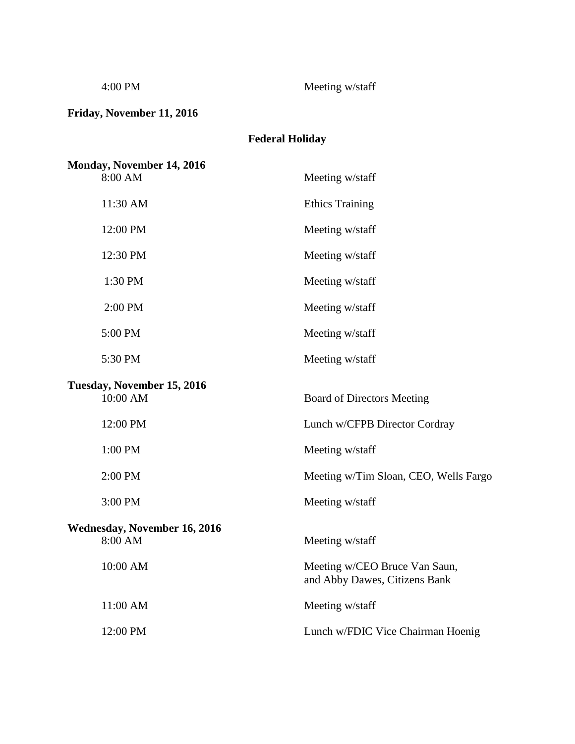4:00 PM Meeting w/staff

**Friday, November 11, 2016**

# **Federal Holiday**

| Monday, November 14, 2016                      |                                                                |
|------------------------------------------------|----------------------------------------------------------------|
| 8:00 AM                                        | Meeting w/staff                                                |
| 11:30 AM                                       | <b>Ethics Training</b>                                         |
| 12:00 PM                                       | Meeting w/staff                                                |
| 12:30 PM                                       | Meeting w/staff                                                |
| 1:30 PM                                        | Meeting w/staff                                                |
| 2:00 PM                                        | Meeting w/staff                                                |
| 5:00 PM                                        | Meeting w/staff                                                |
| 5:30 PM                                        | Meeting w/staff                                                |
| Tuesday, November 15, 2016<br>10:00 AM         | <b>Board of Directors Meeting</b>                              |
| 12:00 PM                                       | Lunch w/CFPB Director Cordray                                  |
| 1:00 PM                                        | Meeting w/staff                                                |
| 2:00 PM                                        | Meeting w/Tim Sloan, CEO, Wells Fargo                          |
| 3:00 PM                                        | Meeting w/staff                                                |
| <b>Wednesday, November 16, 2016</b><br>8:00 AM | Meeting w/staff                                                |
| 10:00 AM                                       | Meeting w/CEO Bruce Van Saun,<br>and Abby Dawes, Citizens Bank |
| 11:00 AM                                       | Meeting w/staff                                                |
| 12:00 PM                                       | Lunch w/FDIC Vice Chairman Hoenig                              |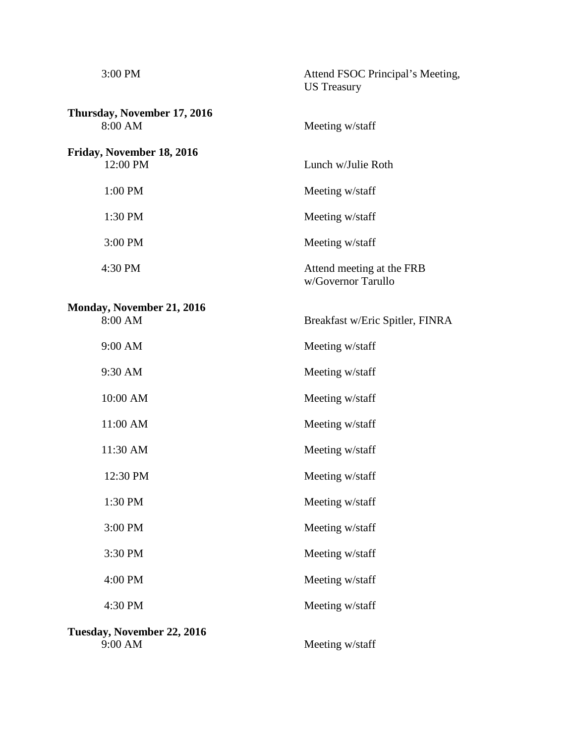| 3:00 PM<br>Attend FSOC Principal's Meeting,<br><b>US</b> Treasury<br>Thursday, November 17, 2016<br>8:00 AM<br>Meeting w/staff<br>Friday, November 18, 2016<br>12:00 PM<br>Lunch w/Julie Roth<br>1:00 PM<br>Meeting w/staff<br>1:30 PM<br>Meeting w/staff<br>3:00 PM<br>Meeting w/staff<br>Attend meeting at the FRB<br>4:30 PM<br>w/Governor Tarullo<br>Monday, November 21, 2016<br>8:00 AM<br>Breakfast w/Eric Spitler, FINRA<br>9:00 AM<br>Meeting w/staff<br>9:30 AM<br>Meeting w/staff<br>10:00 AM<br>Meeting w/staff<br>11:00 AM<br>Meeting w/staff<br>11:30 AM<br>Meeting w/staff<br>12:30 PM<br>Meeting w/staff<br>1:30 PM<br>Meeting w/staff<br>3:00 PM<br>Meeting w/staff<br>3:30 PM<br>Meeting w/staff |  |
|--------------------------------------------------------------------------------------------------------------------------------------------------------------------------------------------------------------------------------------------------------------------------------------------------------------------------------------------------------------------------------------------------------------------------------------------------------------------------------------------------------------------------------------------------------------------------------------------------------------------------------------------------------------------------------------------------------------------|--|
|                                                                                                                                                                                                                                                                                                                                                                                                                                                                                                                                                                                                                                                                                                                    |  |
|                                                                                                                                                                                                                                                                                                                                                                                                                                                                                                                                                                                                                                                                                                                    |  |
|                                                                                                                                                                                                                                                                                                                                                                                                                                                                                                                                                                                                                                                                                                                    |  |
|                                                                                                                                                                                                                                                                                                                                                                                                                                                                                                                                                                                                                                                                                                                    |  |
|                                                                                                                                                                                                                                                                                                                                                                                                                                                                                                                                                                                                                                                                                                                    |  |
|                                                                                                                                                                                                                                                                                                                                                                                                                                                                                                                                                                                                                                                                                                                    |  |
|                                                                                                                                                                                                                                                                                                                                                                                                                                                                                                                                                                                                                                                                                                                    |  |
|                                                                                                                                                                                                                                                                                                                                                                                                                                                                                                                                                                                                                                                                                                                    |  |
|                                                                                                                                                                                                                                                                                                                                                                                                                                                                                                                                                                                                                                                                                                                    |  |
|                                                                                                                                                                                                                                                                                                                                                                                                                                                                                                                                                                                                                                                                                                                    |  |
|                                                                                                                                                                                                                                                                                                                                                                                                                                                                                                                                                                                                                                                                                                                    |  |
|                                                                                                                                                                                                                                                                                                                                                                                                                                                                                                                                                                                                                                                                                                                    |  |
|                                                                                                                                                                                                                                                                                                                                                                                                                                                                                                                                                                                                                                                                                                                    |  |
|                                                                                                                                                                                                                                                                                                                                                                                                                                                                                                                                                                                                                                                                                                                    |  |
|                                                                                                                                                                                                                                                                                                                                                                                                                                                                                                                                                                                                                                                                                                                    |  |
|                                                                                                                                                                                                                                                                                                                                                                                                                                                                                                                                                                                                                                                                                                                    |  |
|                                                                                                                                                                                                                                                                                                                                                                                                                                                                                                                                                                                                                                                                                                                    |  |
|                                                                                                                                                                                                                                                                                                                                                                                                                                                                                                                                                                                                                                                                                                                    |  |
| 4:00 PM<br>Meeting w/staff                                                                                                                                                                                                                                                                                                                                                                                                                                                                                                                                                                                                                                                                                         |  |
| 4:30 PM<br>Meeting w/staff                                                                                                                                                                                                                                                                                                                                                                                                                                                                                                                                                                                                                                                                                         |  |
| Tuesday, November 22, 2016<br>9:00 AM<br>Meeting w/staff                                                                                                                                                                                                                                                                                                                                                                                                                                                                                                                                                                                                                                                           |  |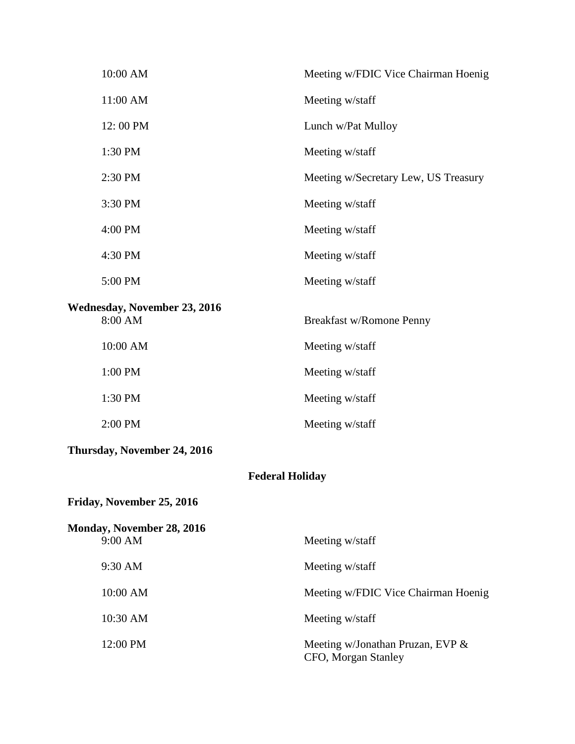| 10:00 AM                                | Meeting w/FDIC Vice Chairman Hoenig  |  |
|-----------------------------------------|--------------------------------------|--|
| 11:00 AM                                | Meeting w/staff                      |  |
| 12:00 PM                                | Lunch w/Pat Mulloy                   |  |
| 1:30 PM                                 | Meeting w/staff                      |  |
| 2:30 PM                                 | Meeting w/Secretary Lew, US Treasury |  |
| 3:30 PM                                 | Meeting w/staff                      |  |
| 4:00 PM                                 | Meeting w/staff                      |  |
| 4:30 PM                                 | Meeting w/staff                      |  |
| 5:00 PM                                 | Meeting w/staff                      |  |
| Wednesday, November 23, 2016<br>8:00 AM | Breakfast w/Romone Penny             |  |
| 10:00 AM                                | Meeting w/staff                      |  |
| 1:00 PM                                 | Meeting w/staff                      |  |
| 1:30 PM                                 | Meeting w/staff                      |  |
| 2:00 PM                                 | Meeting w/staff                      |  |
| Thursday, November 24, 2016             |                                      |  |

## **Federal Holiday**

**Friday, November 25, 2016**

| Monday, November 28, 2016 |                                                            |  |
|---------------------------|------------------------------------------------------------|--|
| 9:00 AM                   | Meeting w/staff                                            |  |
| $9:30 \text{ AM}$         | Meeting w/staff                                            |  |
| 10:00 AM                  | Meeting w/FDIC Vice Chairman Hoenig                        |  |
| 10:30 AM                  | Meeting w/staff                                            |  |
| 12:00 PM                  | Meeting w/Jonathan Pruzan, EVP $\&$<br>CFO, Morgan Stanley |  |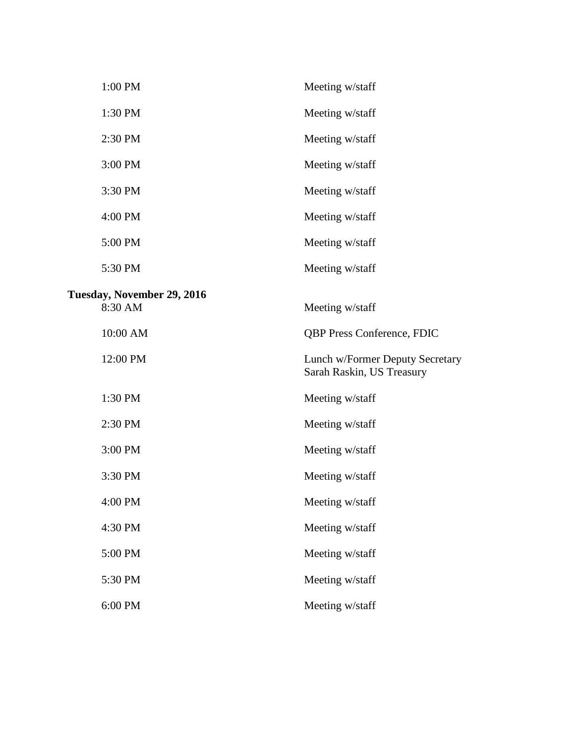| 1:00 PM                               | Meeting w/staff                                              |
|---------------------------------------|--------------------------------------------------------------|
| 1:30 PM                               | Meeting w/staff                                              |
| 2:30 PM                               | Meeting w/staff                                              |
| 3:00 PM                               | Meeting w/staff                                              |
| 3:30 PM                               | Meeting w/staff                                              |
| 4:00 PM                               | Meeting w/staff                                              |
| 5:00 PM                               | Meeting w/staff                                              |
| 5:30 PM                               | Meeting w/staff                                              |
|                                       |                                                              |
| Tuesday, November 29, 2016<br>8:30 AM | Meeting w/staff                                              |
| 10:00 AM                              | <b>QBP Press Conference, FDIC</b>                            |
| 12:00 PM                              | Lunch w/Former Deputy Secretary<br>Sarah Raskin, US Treasury |
| 1:30 PM                               | Meeting w/staff                                              |
| 2:30 PM                               | Meeting w/staff                                              |
| 3:00 PM                               | Meeting w/staff                                              |
| 3:30 PM                               | Meeting w/staff                                              |
| 4:00 PM                               | Meeting w/staff                                              |
| 4:30 PM                               | Meeting w/staff                                              |
| 5:00 PM                               | Meeting w/staff                                              |
| 5:30 PM                               | Meeting w/staff                                              |
| 6:00 PM                               | Meeting w/staff                                              |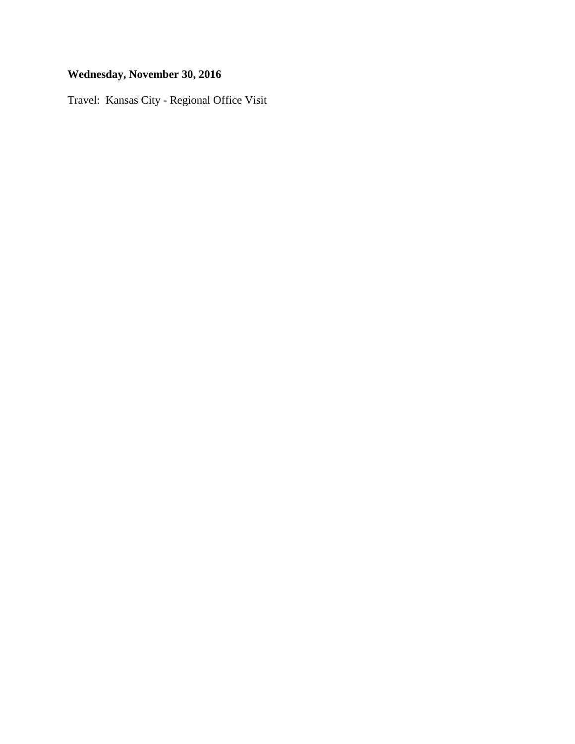# **Wednesday, November 30, 2016**

Travel: Kansas City - Regional Office Visit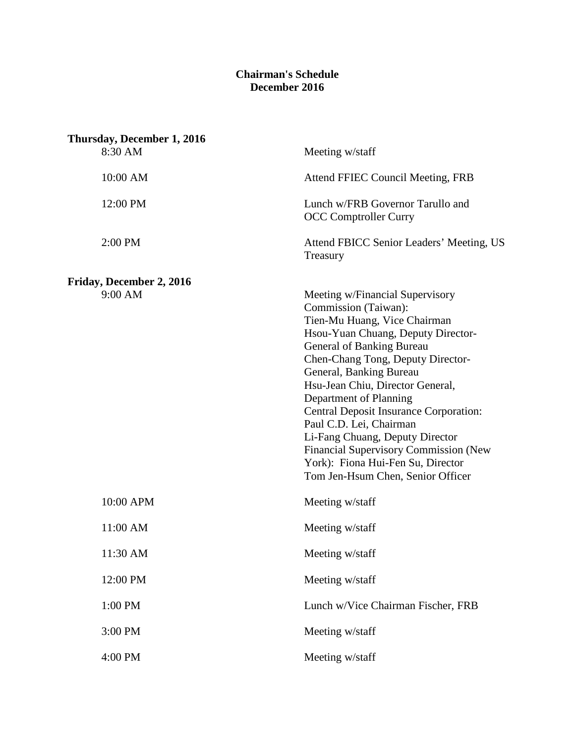#### **Chairman's Schedule December 2016**

| Thursday, December 1, 2016<br>8:30 AM | Meeting w/staff                                                                                                                                                                                                                                                                                                                                                                                                                                                                                                                   |
|---------------------------------------|-----------------------------------------------------------------------------------------------------------------------------------------------------------------------------------------------------------------------------------------------------------------------------------------------------------------------------------------------------------------------------------------------------------------------------------------------------------------------------------------------------------------------------------|
| 10:00 AM                              | Attend FFIEC Council Meeting, FRB                                                                                                                                                                                                                                                                                                                                                                                                                                                                                                 |
| 12:00 PM                              | Lunch w/FRB Governor Tarullo and<br><b>OCC Comptroller Curry</b>                                                                                                                                                                                                                                                                                                                                                                                                                                                                  |
| 2:00 PM                               | Attend FBICC Senior Leaders' Meeting, US<br>Treasury                                                                                                                                                                                                                                                                                                                                                                                                                                                                              |
| Friday, December 2, 2016              |                                                                                                                                                                                                                                                                                                                                                                                                                                                                                                                                   |
| 9:00 AM                               | Meeting w/Financial Supervisory<br>Commission (Taiwan):<br>Tien-Mu Huang, Vice Chairman<br>Hsou-Yuan Chuang, Deputy Director-<br>General of Banking Bureau<br>Chen-Chang Tong, Deputy Director-<br>General, Banking Bureau<br>Hsu-Jean Chiu, Director General,<br>Department of Planning<br><b>Central Deposit Insurance Corporation:</b><br>Paul C.D. Lei, Chairman<br>Li-Fang Chuang, Deputy Director<br><b>Financial Supervisory Commission (New</b><br>York): Fiona Hui-Fen Su, Director<br>Tom Jen-Hsum Chen, Senior Officer |
| 10:00 APM                             | Meeting w/staff                                                                                                                                                                                                                                                                                                                                                                                                                                                                                                                   |
| 11:00 AM                              | Meeting w/staff                                                                                                                                                                                                                                                                                                                                                                                                                                                                                                                   |
| 11:30 AM                              | Meeting w/staff                                                                                                                                                                                                                                                                                                                                                                                                                                                                                                                   |
| 12:00 PM                              | Meeting w/staff                                                                                                                                                                                                                                                                                                                                                                                                                                                                                                                   |
| 1:00 PM                               | Lunch w/Vice Chairman Fischer, FRB                                                                                                                                                                                                                                                                                                                                                                                                                                                                                                |
| 3:00 PM                               | Meeting w/staff                                                                                                                                                                                                                                                                                                                                                                                                                                                                                                                   |
| 4:00 PM                               | Meeting w/staff                                                                                                                                                                                                                                                                                                                                                                                                                                                                                                                   |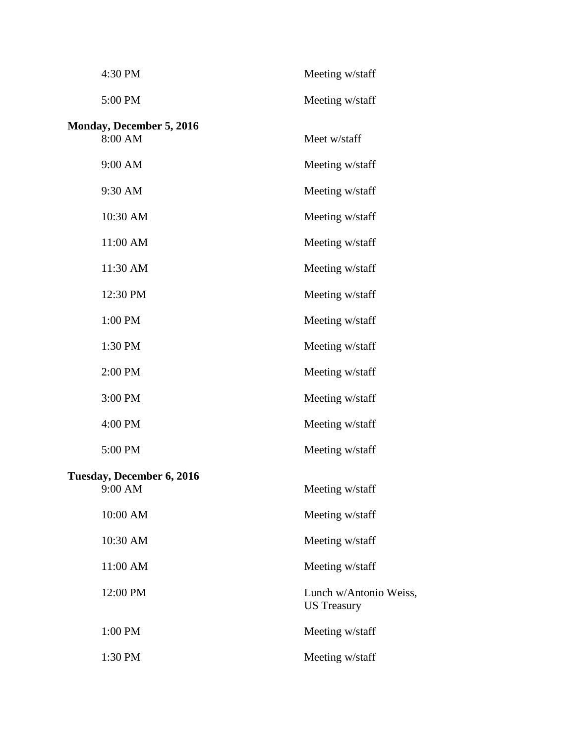| 4:30 PM                                     | Meeting w/staff                              |
|---------------------------------------------|----------------------------------------------|
| 5:00 PM                                     | Meeting w/staff                              |
| <b>Monday, December 5, 2016</b><br>8:00 AM  | Meet w/staff                                 |
| 9:00 AM                                     | Meeting w/staff                              |
| 9:30 AM                                     | Meeting w/staff                              |
| 10:30 AM                                    | Meeting w/staff                              |
| 11:00 AM                                    | Meeting w/staff                              |
| 11:30 AM                                    | Meeting w/staff                              |
| 12:30 PM                                    | Meeting w/staff                              |
| 1:00 PM                                     | Meeting w/staff                              |
| 1:30 PM                                     | Meeting w/staff                              |
| 2:00 PM                                     | Meeting w/staff                              |
| 3:00 PM                                     | Meeting w/staff                              |
| 4:00 PM                                     | Meeting w/staff                              |
| 5:00 PM                                     | Meeting w/staff                              |
| <b>Tuesday, December 6, 2016</b><br>9:00 AM | Meeting w/staff                              |
| 10:00 AM                                    | Meeting w/staff                              |
| 10:30 AM                                    | Meeting w/staff                              |
| 11:00 AM                                    | Meeting w/staff                              |
| 12:00 PM                                    | Lunch w/Antonio Weiss,<br><b>US</b> Treasury |
| 1:00 PM                                     | Meeting w/staff                              |
| 1:30 PM                                     | Meeting w/staff                              |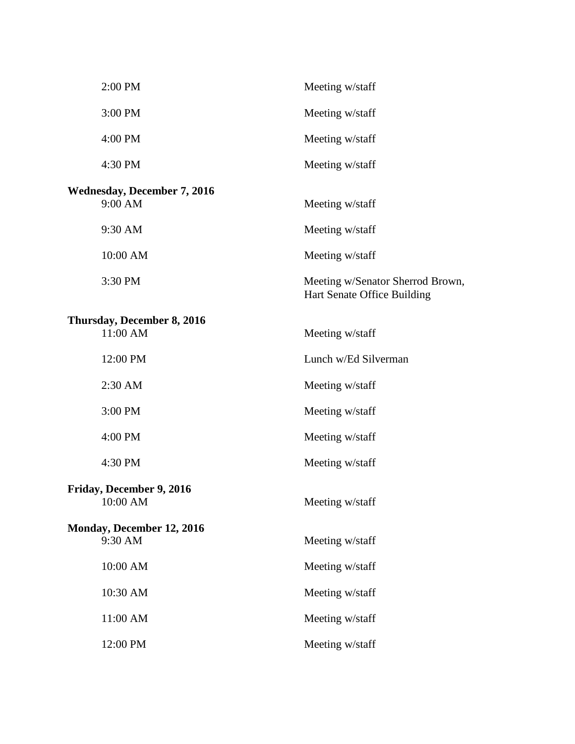| 2:00 PM                            | Meeting w/staff                                                 |
|------------------------------------|-----------------------------------------------------------------|
| 3:00 PM                            | Meeting w/staff                                                 |
| 4:00 PM                            | Meeting w/staff                                                 |
| 4:30 PM                            | Meeting w/staff                                                 |
| <b>Wednesday, December 7, 2016</b> |                                                                 |
| 9:00 AM                            | Meeting w/staff                                                 |
| 9:30 AM                            | Meeting w/staff                                                 |
| 10:00 AM                           | Meeting w/staff                                                 |
| 3:30 PM                            | Meeting w/Senator Sherrod Brown,<br>Hart Senate Office Building |
| Thursday, December 8, 2016         |                                                                 |
| 11:00 AM                           | Meeting w/staff                                                 |
| 12:00 PM                           | Lunch w/Ed Silverman                                            |
| 2:30 AM                            | Meeting w/staff                                                 |
| 3:00 PM                            | Meeting w/staff                                                 |
| 4:00 PM                            | Meeting w/staff                                                 |
| 4:30 PM                            | Meeting w/staff                                                 |
| Friday, December 9, 2016           |                                                                 |
| 10:00 AM                           | Meeting w/staff                                                 |
| Monday, December 12, 2016          |                                                                 |
| 9:30 AM                            | Meeting w/staff                                                 |
| 10:00 AM                           | Meeting w/staff                                                 |
| 10:30 AM                           | Meeting w/staff                                                 |
| 11:00 AM                           | Meeting w/staff                                                 |
| 12:00 PM                           | Meeting w/staff                                                 |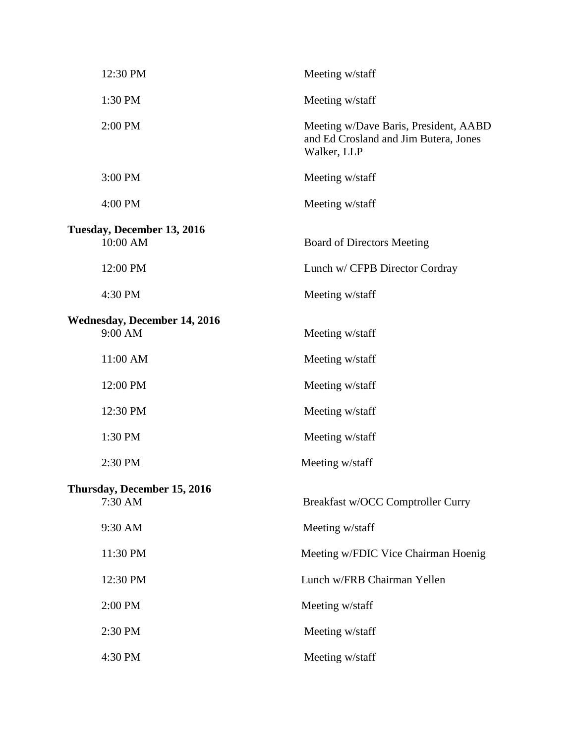| 12:30 PM                                       | Meeting w/staff                                                                               |
|------------------------------------------------|-----------------------------------------------------------------------------------------------|
| 1:30 PM                                        | Meeting w/staff                                                                               |
| 2:00 PM                                        | Meeting w/Dave Baris, President, AABD<br>and Ed Crosland and Jim Butera, Jones<br>Walker, LLP |
| 3:00 PM                                        | Meeting w/staff                                                                               |
| 4:00 PM                                        | Meeting w/staff                                                                               |
| Tuesday, December 13, 2016<br>10:00 AM         | <b>Board of Directors Meeting</b>                                                             |
| 12:00 PM                                       | Lunch w/ CFPB Director Cordray                                                                |
| 4:30 PM                                        | Meeting w/staff                                                                               |
| <b>Wednesday, December 14, 2016</b><br>9:00 AM | Meeting w/staff                                                                               |
| 11:00 AM                                       | Meeting w/staff                                                                               |
| 12:00 PM                                       | Meeting w/staff                                                                               |
| 12:30 PM                                       | Meeting w/staff                                                                               |
| 1:30 PM                                        | Meeting w/staff                                                                               |
| 2:30 PM                                        | Meeting w/staff                                                                               |
| Thursday, December 15, 2016<br>7:30 AM         | Breakfast w/OCC Comptroller Curry                                                             |
| 9:30 AM                                        | Meeting w/staff                                                                               |
| 11:30 PM                                       | Meeting w/FDIC Vice Chairman Hoenig                                                           |
| 12:30 PM                                       | Lunch w/FRB Chairman Yellen                                                                   |
| 2:00 PM                                        | Meeting w/staff                                                                               |
| 2:30 PM                                        | Meeting w/staff                                                                               |
| 4:30 PM                                        | Meeting w/staff                                                                               |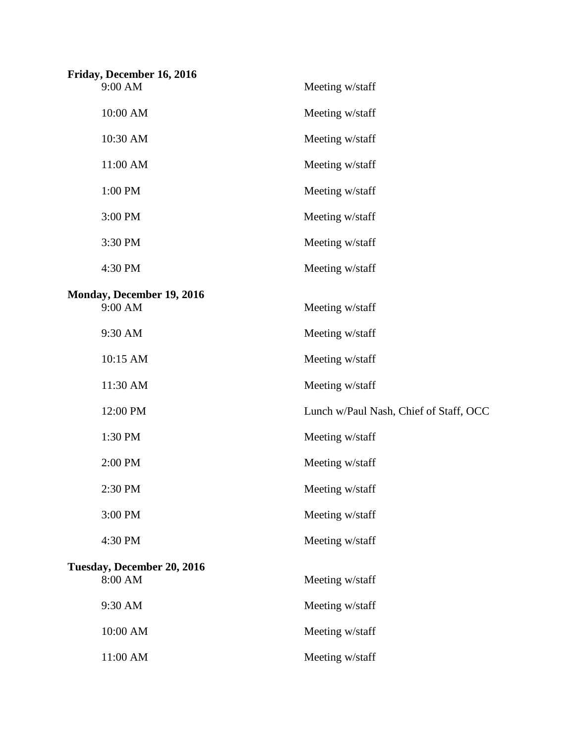| Friday, December 16, 2016  |                                        |
|----------------------------|----------------------------------------|
| 9:00 AM                    | Meeting w/staff                        |
| 10:00 AM                   | Meeting w/staff                        |
| 10:30 AM                   | Meeting w/staff                        |
| 11:00 AM                   | Meeting w/staff                        |
| 1:00 PM                    | Meeting w/staff                        |
| 3:00 PM                    | Meeting w/staff                        |
| 3:30 PM                    | Meeting w/staff                        |
| 4:30 PM                    | Meeting w/staff                        |
| Monday, December 19, 2016  |                                        |
| 9:00 AM                    | Meeting w/staff                        |
| 9:30 AM                    | Meeting w/staff                        |
| 10:15 AM                   | Meeting w/staff                        |
| 11:30 AM                   | Meeting w/staff                        |
| 12:00 PM                   | Lunch w/Paul Nash, Chief of Staff, OCC |
| 1:30 PM                    | Meeting w/staff                        |
| 2:00 PM                    | Meeting w/staff                        |
| 2:30 PM                    | Meeting w/staff                        |
| 3:00 PM                    | Meeting w/staff                        |
| 4:30 PM                    | Meeting w/staff                        |
| Tuesday, December 20, 2016 |                                        |
| 8:00 AM                    | Meeting w/staff                        |
| 9:30 AM                    | Meeting w/staff                        |
| 10:00 AM                   | Meeting w/staff                        |
| 11:00 AM                   | Meeting w/staff                        |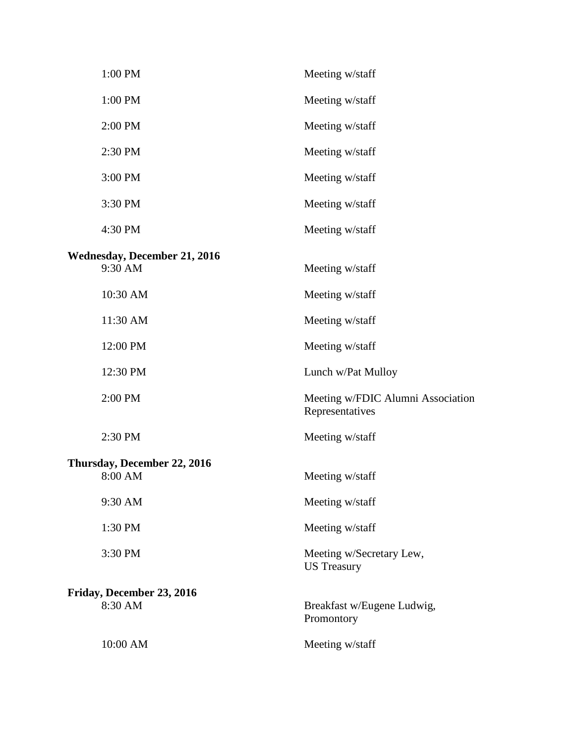| 1:00 PM                             | Meeting w/staff                                      |
|-------------------------------------|------------------------------------------------------|
| 1:00 PM                             | Meeting w/staff                                      |
| 2:00 PM                             | Meeting w/staff                                      |
| 2:30 PM                             | Meeting w/staff                                      |
| 3:00 PM                             | Meeting w/staff                                      |
| 3:30 PM                             | Meeting w/staff                                      |
| 4:30 PM                             | Meeting w/staff                                      |
| <b>Wednesday, December 21, 2016</b> |                                                      |
| 9:30 AM                             | Meeting w/staff                                      |
| 10:30 AM                            | Meeting w/staff                                      |
| 11:30 AM                            | Meeting w/staff                                      |
| 12:00 PM                            | Meeting w/staff                                      |
| 12:30 PM                            | Lunch w/Pat Mulloy                                   |
| 2:00 PM                             | Meeting w/FDIC Alumni Association<br>Representatives |
| 2:30 PM                             | Meeting w/staff                                      |
| Thursday, December 22, 2016         |                                                      |
| 8:00 AM                             | Meeting w/staff                                      |
| 9:30 AM                             | Meeting w/staff                                      |
| 1:30 PM                             | Meeting w/staff                                      |
| 3:30 PM                             | Meeting w/Secretary Lew,<br><b>US</b> Treasury       |
| Friday, December 23, 2016           |                                                      |
| 8:30 AM                             | Breakfast w/Eugene Ludwig,<br>Promontory             |
| 10:00 AM                            | Meeting w/staff                                      |